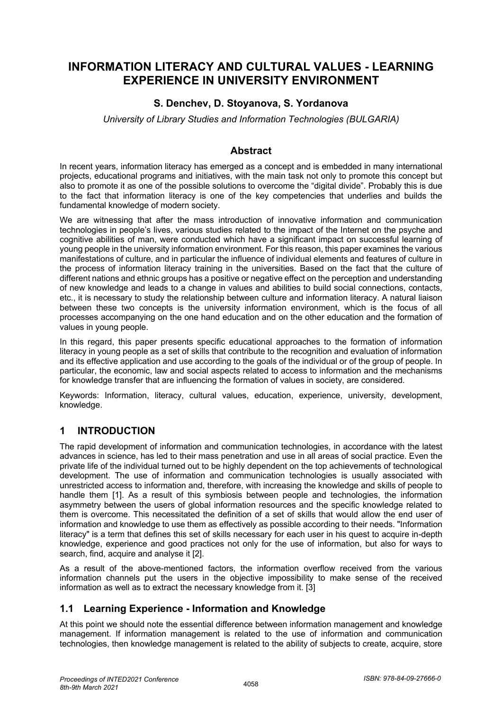# **INFORMATION LITERACY AND CULTURAL VALUES - LEARNING EXPERIENCE IN UNIVERSITY ENVIRONMENT**

## **S. Denchev, D. Stoyanova, S. Yordanova**

*University of Library Studies and Information Technologies (BULGARIA)*

#### **Abstract**

In recent years, information literacy has emerged as a concept and is embedded in many international projects, educational programs and initiatives, with the main task not only to promote this concept but also to promote it as one of the possible solutions to overcome the "digital divide". Probably this is due to the fact that information literacy is one of the key competencies that underlies and builds the fundamental knowledge of modern society.

We are witnessing that after the mass introduction of innovative information and communication technologies in people's lives, various studies related to the impact of the Internet on the psyche and cognitive abilities of man, were conducted which have a significant impact on successful learning of young people in the university information environment. For this reason, this paper examines the various manifestations of culture, and in particular the influence of individual elements and features of culture in the process of information literacy training in the universities. Based on the fact that the culture of different nations and ethnic groups has a positive or negative effect on the perception and understanding of new knowledge and leads to a change in values and abilities to build social connections, contacts, etc., it is necessary to study the relationship between culture and information literacy. A natural liaison between these two concepts is the university information environment, which is the focus of all processes accompanying on the one hand education and on the other education and the formation of values in young people.

In this regard, this paper presents specific educational approaches to the formation of information literacy in young people as a set of skills that contribute to the recognition and evaluation of information and its effective application and use according to the goals of the individual or of the group of people. In particular, the economic, law and social aspects related to access to information and the mechanisms for knowledge transfer that are influencing the formation of values in society, are considered.

Keywords: Information, literacy, cultural values, education, experience, university, development, knowledge.

#### **1 INTRODUCTION**

The rapid development of information and communication technologies, in accordance with the latest advances in science, has led to their mass penetration and use in all areas of social practice. Even the private life of the individual turned out to be highly dependent on the top achievements of technological development. The use of information and communication technologies is usually associated with unrestricted access to information and, therefore, with increasing the knowledge and skills of people to handle them [1]. As a result of this symbiosis between people and technologies, the information asymmetry between the users of global information resources and the specific knowledge related to them is overcome. This necessitated the definition of a set of skills that would allow the end user of information and knowledge to use them as effectively as possible according to their needs. "Information literacy" is a term that defines this set of skills necessary for each user in his quest to acquire in-depth knowledge, experience and good practices not only for the use of information, but also for ways to search, find, acquire and analyse it [2].

As a result of the above-mentioned factors, the information overflow received from the various information channels put the users in the objective impossibility to make sense of the received information as well as to extract the necessary knowledge from it. [3]

#### **1.1 Learning Experience - Information and Knowledge**

At this point we should note the essential difference between information management and knowledge management. If information management is related to the use of information and communication technologies, then knowledge management is related to the ability of subjects to create, acquire, store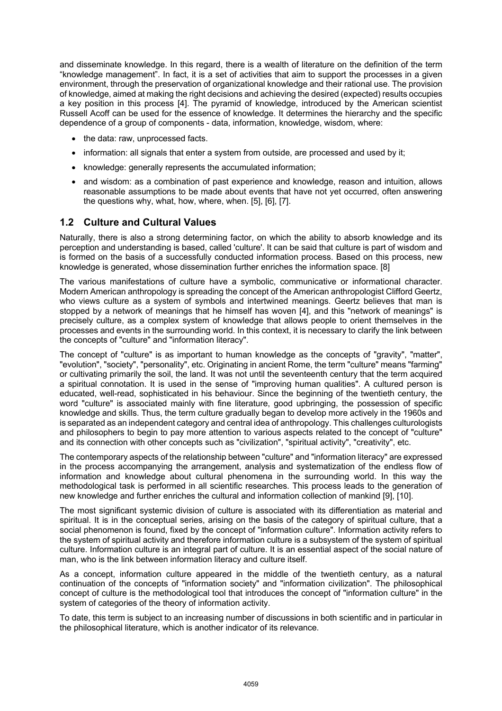and disseminate knowledge. In this regard, there is a wealth of literature on the definition of the term "knowledge management". In fact, it is a set of activities that aim to support the processes in a given environment, through the preservation of organizational knowledge and their rational use. The provision of knowledge, aimed at making the right decisions and achieving the desired (expected) results occupies a key position in this process [4]. The pyramid of knowledge, introduced by the American scientist Russell Acoff can be used for the essence of knowledge. It determines the hierarchy and the specific dependence of a group of components - data, information, knowledge, wisdom, where:

- the data: raw, unprocessed facts.
- information: all signals that enter a system from outside, are processed and used by it;
- knowledge: generally represents the accumulated information;
- and wisdom: as a combination of past experience and knowledge, reason and intuition, allows reasonable assumptions to be made about events that have not yet occurred, often answering the questions why, what, how, where, when. [5], [6], [7].

## **1.2 Culture and Cultural Values**

Naturally, there is also a strong determining factor, on which the ability to absorb knowledge and its perception and understanding is based, called 'culture'. It can be said that culture is part of wisdom and is formed on the basis of a successfully conducted information process. Based on this process, new knowledge is generated, whose dissemination further enriches the information space. [8]

The various manifestations of culture have a symbolic, communicative or informational character. Modern American anthropology is spreading the concept of the American anthropologist Clifford Geertz, who views culture as a system of symbols and intertwined meanings. Geertz believes that man is stopped by a network of meanings that he himself has woven [4], and this "network of meanings" is precisely culture, as a complex system of knowledge that allows people to orient themselves in the processes and events in the surrounding world. In this context, it is necessary to clarify the link between the concepts of "culture" and "information literacy".

The concept of "culture" is as important to human knowledge as the concepts of "gravity", "matter", "evolution", "society", "personality", etc. Originating in ancient Rome, the term "culture" means "farming" or cultivating primarily the soil, the land. It was not until the seventeenth century that the term acquired a spiritual connotation. It is used in the sense of "improving human qualities". A cultured person is educated, well-read, sophisticated in his behaviour. Since the beginning of the twentieth century, the word "culture" is associated mainly with fine literature, good upbringing, the possession of specific knowledge and skills. Thus, the term culture gradually began to develop more actively in the 1960s and is separated as an independent category and central idea of anthropology. This challenges culturologists and philosophers to begin to pay more attention to various aspects related to the concept of "culture" and its connection with other concepts such as "civilization", "spiritual activity", "creativity", etc.

The contemporary aspects of the relationship between "culture" and "information literacy" are expressed in the process accompanying the arrangement, analysis and systematization of the endless flow of information and knowledge about cultural phenomena in the surrounding world. In this way the methodological task is performed in all scientific researches. This process leads to the generation of new knowledge and further enriches the cultural and information collection of mankind [9], [10].

The most significant systemic division of culture is associated with its differentiation as material and spiritual. It is in the conceptual series, arising on the basis of the category of spiritual culture, that a social phenomenon is found, fixed by the concept of "information culture". Information activity refers to the system of spiritual activity and therefore information culture is a subsystem of the system of spiritual culture. Information culture is an integral part of culture. It is an essential aspect of the social nature of man, who is the link between information literacy and culture itself.

As a concept, information culture appeared in the middle of the twentieth century, as a natural continuation of the concepts of "information society" and "information civilization". The philosophical concept of culture is the methodological tool that introduces the concept of "information culture" in the system of categories of the theory of information activity.

To date, this term is subject to an increasing number of discussions in both scientific and in particular in the philosophical literature, which is another indicator of its relevance.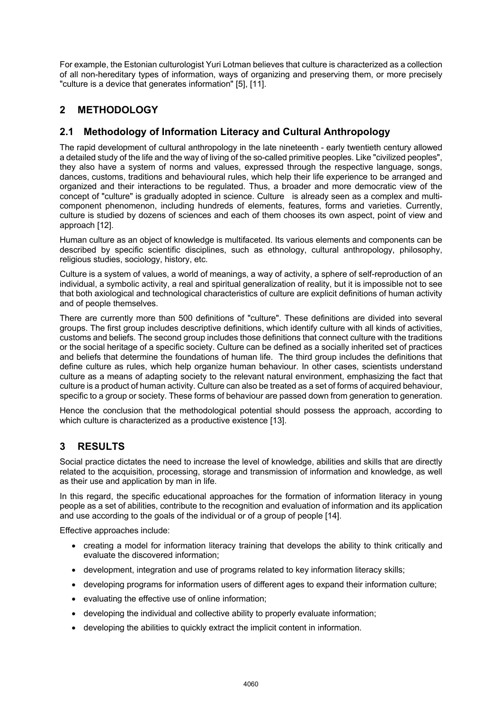For example, the Estonian culturologist Yuri Lotman believes that culture is characterized as a collection of all non-hereditary types of information, ways of organizing and preserving them, or more precisely "culture is a device that generates information" [5], [11].

## **2 METHODOLOGY**

### **2.1 Methodology of Information Literacy and Cultural Anthropology**

The rapid development of cultural anthropology in the late nineteenth - early twentieth century allowed a detailed study of the life and the way of living of the so-called primitive peoples. Like "civilized peoples", they also have a system of norms and values, expressed through the respective language, songs, dances, customs, traditions and behavioural rules, which help their life experience to be arranged and organized and their interactions to be regulated. Thus, a broader and more democratic view of the concept of "culture" is gradually adopted in science. Culture is already seen as a complex and multicomponent phenomenon, including hundreds of elements, features, forms and varieties. Currently, culture is studied by dozens of sciences and each of them chooses its own aspect, point of view and approach [12].

Human culture as an object of knowledge is multifaceted. Its various elements and components can be described by specific scientific disciplines, such as ethnology, cultural anthropology, philosophy, religious studies, sociology, history, etc.

Culture is a system of values, a world of meanings, a way of activity, a sphere of self-reproduction of an individual, a symbolic activity, a real and spiritual generalization of reality, but it is impossible not to see that both axiological and technological characteristics of culture are explicit definitions of human activity and of people themselves.

There are currently more than 500 definitions of "culture". These definitions are divided into several groups. The first group includes descriptive definitions, which identify culture with all kinds of activities, customs and beliefs. The second group includes those definitions that connect culture with the traditions or the social heritage of a specific society. Culture can be defined as a socially inherited set of practices and beliefs that determine the foundations of human life. The third group includes the definitions that define culture as rules, which help organize human behaviour. In other cases, scientists understand culture as a means of adapting society to the relevant natural environment, emphasizing the fact that culture is a product of human activity. Culture can also be treated as a set of forms of acquired behaviour, specific to a group or society. These forms of behaviour are passed down from generation to generation.

Hence the conclusion that the methodological potential should possess the approach, according to which culture is characterized as a productive existence [13].

## **3 RESULTS**

Social practice dictates the need to increase the level of knowledge, abilities and skills that are directly related to the acquisition, processing, storage and transmission of information and knowledge, as well as their use and application by man in life.

In this regard, the specific educational approaches for the formation of information literacy in young people as a set of abilities, contribute to the recognition and evaluation of information and its application and use according to the goals of the individual or of a group of people [14].

Effective approaches include:

- creating a model for information literacy training that develops the ability to think critically and evaluate the discovered information;
- development, integration and use of programs related to key information literacy skills;
- developing programs for information users of different ages to expand their information culture;
- evaluating the effective use of online information;
- developing the individual and collective ability to properly evaluate information;
- developing the abilities to quickly extract the implicit content in information.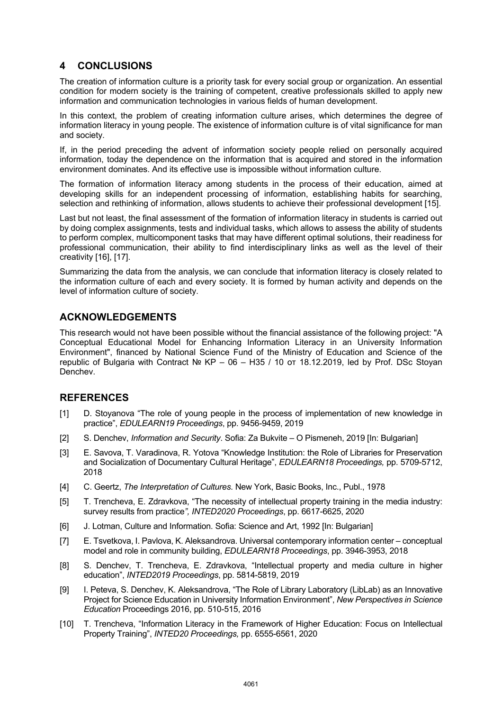## **4 CONCLUSIONS**

The creation of information culture is a priority task for every social group or organization. An essential condition for modern society is the training of competent, creative professionals skilled to apply new information and communication technologies in various fields of human development.

In this context, the problem of creating information culture arises, which determines the degree of information literacy in young people. The existence of information culture is of vital significance for man and society.

If, in the period preceding the advent of information society people relied on personally acquired information, today the dependence on the information that is acquired and stored in the information environment dominates. And its effective use is impossible without information culture.

The formation of information literacy among students in the process of their education, aimed at developing skills for an independent processing of information, establishing habits for searching, selection and rethinking of information, allows students to achieve their professional development [15].

Last but not least, the final assessment of the formation of information literacy in students is carried out by doing complex assignments, tests and individual tasks, which allows to assess the ability of students to perform complex, multicomponent tasks that may have different optimal solutions, their readiness for professional communication, their ability to find interdisciplinary links as well as the level of their creativity [16], [17].

Summarizing the data from the analysis, we can conclude that information literacy is closely related to the information culture of each and every society. It is formed by human activity and depends on the level of information culture of society.

## **ACKNOWLEDGEMENTS**

This research would not have been possible without the financial assistance of the following project: "A Conceptual Educational Model for Enhancing Information Literacy in an University Information Environment", financed by National Science Fund of the Ministry of Education and Science of the republic of Bulgaria with Contract № KP – 06 – Н35 / 10 от 18.12.2019, led by Prof. DSc Stoyan Denchev.

#### **REFERENCES**

- [1] D. Stoyanova "The role of young people in the process of implementation of new knowledge in practice", *EDULEARN19 Proceedings*, pp. 9456-9459, 2019
- [2] S. Denchev, *Information and Security*. Sofia: Za Bukvite O Pismeneh, 2019 [In: Bulgarian]
- [3] E. Savova, T. Varadinova, R. Yotova "Knowledge Institution: the Role of Libraries for Preservation and Socialization of Documentary Cultural Heritage", *EDULEARN18 Proceedings,* pp. 5709-5712, 2018
- [4] C. Geertz, *The Interpretation of Cultures*. New York, Basic Books, Inc., Publ., 1978
- [5] T. Trencheva, E. Zdravkova, "The necessity of intellectual property training in the media industry: survey results from practice*", INTED2020 Proceedings*, pp. 6617-6625, 2020
- [6] J. Lotman, Culture and Information. Sofia: Science and Art, 1992 [In: Bulgarian]
- [7] E. Tsvetkova, I. Pavlova, K. Aleksandrova. Universal contemporary information center conceptual model and role in community building, *EDULEARN18 Proceedings*, pp. 3946-3953, 2018
- [8] S. Denchev, T. Trencheva, E. Zdravkova, "Intellectual property and media culture in higher education", *INTED2019 Proceedings*, pp. 5814-5819, 2019
- [9] I. Peteva, S. Denchev, K. Aleksandrova, "The Role of Library Laboratory (LibLab) as an Innovative Project for Science Education in University Information Environment", *New Perspectives in Science Education* Proceedings 2016, pp. 510-515, 2016
- [10] T. Trencheva, "Information Literacy in the Framework of Higher Education: Focus on Intellectual Property Training", *INTED20 Proceedings,* pp. 6555-6561, 2020